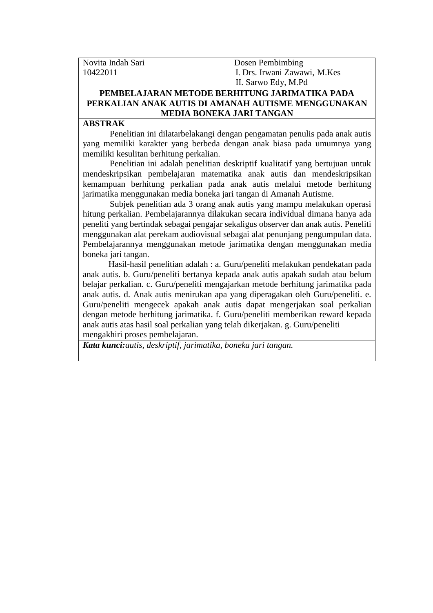| Novita Indah Sari | Dosen Pembimbing             |
|-------------------|------------------------------|
| 10422011          | I. Drs. Irwani Zawawi, M.Kes |
|                   | II. Sarwo Edy, M.Pd          |

## **PEMBELAJARAN METODE BERHITUNG JARIMATIKA PADA PERKALIAN ANAK AUTIS DI AMANAH AUTISME MENGGUNAKAN MEDIA BONEKA JARI TANGAN**

## **ABSTRAK**

Penelitian ini dilatarbelakangi dengan pengamatan penulis pada anak autis yang memiliki karakter yang berbeda dengan anak biasa pada umumnya yang memiliki kesulitan berhitung perkalian.

Penelitian ini adalah penelitian deskriptif kualitatif yang bertujuan untuk mendeskripsikan pembelajaran matematika anak autis dan mendeskripsikan kemampuan berhitung perkalian pada anak autis melalui metode berhitung jarimatika menggunakan media boneka jari tangan di Amanah Autisme.

Subjek penelitian ada 3 orang anak autis yang mampu melakukan operasi hitung perkalian. Pembelajarannya dilakukan secara individual dimana hanya ada peneliti yang bertindak sebagai pengajar sekaligus observer dan anak autis. Peneliti menggunakan alat perekam audiovisual sebagai alat penunjang pengumpulan data. Pembelajarannya menggunakan metode jarimatika dengan menggunakan media boneka jari tangan.

Hasil-hasil penelitian adalah : a. Guru/peneliti melakukan pendekatan pada anak autis. b. Guru/peneliti bertanya kepada anak autis apakah sudah atau belum belajar perkalian. c. Guru/peneliti mengajarkan metode berhitung jarimatika pada anak autis. d. Anak autis menirukan apa yang diperagakan oleh Guru/peneliti. e. Guru/peneliti mengecek apakah anak autis dapat mengerjakan soal perkalian dengan metode berhitung jarimatika. f. Guru/peneliti memberikan reward kepada anak autis atas hasil soal perkalian yang telah dikerjakan. g. Guru/peneliti mengakhiri proses pembelajaran.

*Kata kunci:autis, deskriptif, jarimatika, boneka jari tangan.*